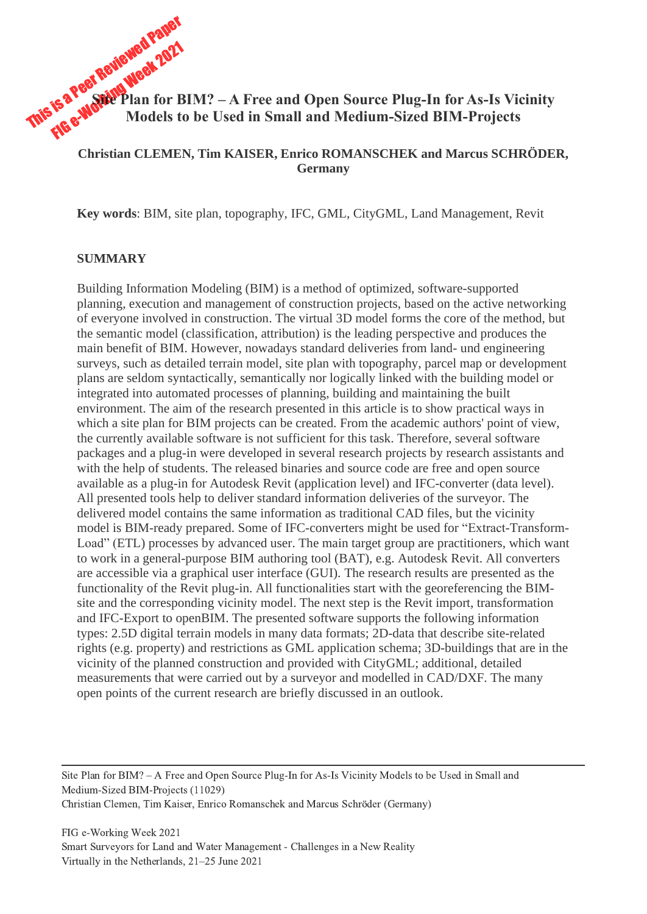This is a Peer Reviewed Pape Fa Peer Revieweek 2021<br>Fa Peer Revieweek 2021<br>FIG e-Worke Models to **Site Plan for BIM? – A Free and Open Source Plug-In for As-Is Vicinity Models to be Used in Small and Medium-Sized BIM-Projects**

#### **Christian CLEMEN, Tim KAISER, Enrico ROMANSCHEK and Marcus SCHRÖDER, Germany**

**Key words**: BIM, site plan, topography, IFC, GML, CityGML, Land Management, Revit

#### **SUMMARY**

Building Information Modeling (BIM) is a method of optimized, software-supported planning, execution and management of construction projects, based on the active networking of everyone involved in construction. The virtual 3D model forms the core of the method, but the semantic model (classification, attribution) is the leading perspective and produces the main benefit of BIM. However, nowadays standard deliveries from land- und engineering surveys, such as detailed terrain model, site plan with topography, parcel map or development plans are seldom syntactically, semantically nor logically linked with the building model or integrated into automated processes of planning, building and maintaining the built environment. The aim of the research presented in this article is to show practical ways in which a site plan for BIM projects can be created. From the academic authors' point of view, the currently available software is not sufficient for this task. Therefore, several software packages and a plug-in were developed in several research projects by research assistants and with the help of students. The released binaries and source code are free and open source available as a plug-in for Autodesk Revit (application level) and IFC-converter (data level). All presented tools help to deliver standard information deliveries of the surveyor. The delivered model contains the same information as traditional CAD files, but the vicinity model is BIM-ready prepared. Some of IFC-converters might be used for "Extract-Transform-Load" (ETL) processes by advanced user. The main target group are practitioners, which want to work in a general-purpose BIM authoring tool (BAT), e.g. Autodesk Revit. All converters are accessible via a graphical user interface (GUI). The research results are presented as the functionality of the Revit plug-in. All functionalities start with the georeferencing the BIMsite and the corresponding vicinity model. The next step is the Revit import, transformation and IFC-Export to openBIM. The presented software supports the following information types: 2.5D digital terrain models in many data formats; 2D-data that describe site-related rights (e.g. property) and restrictions as GML application schema; 3D-buildings that are in the vicinity of the planned construction and provided with CityGML; additional, detailed measurements that were carried out by a surveyor and modelled in CAD/DXF. The many open points of the current research are briefly discussed in an outlook.

Site Plan for BIM? – A Free and Open Source Plug-In for As-Is Vicinity Models to be Used in Small and Medium-Sized BIM-Projects (11029)

Christian Clemen, Tim Kaiser, Enrico Romanschek and Marcus Schröder (Germany)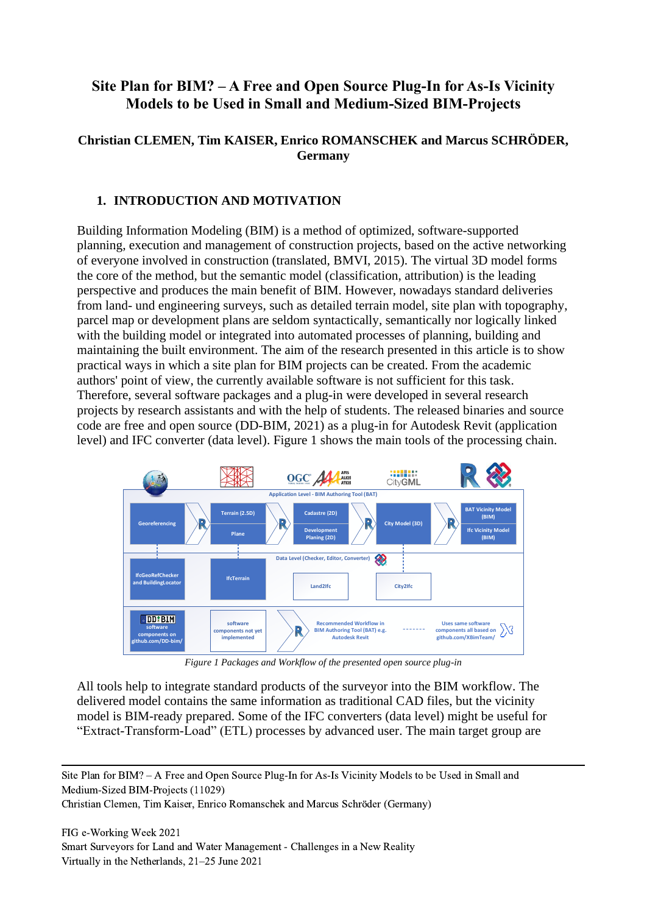# **Site Plan for BIM? – A Free and Open Source Plug-In for As-Is Vicinity Models to be Used in Small and Medium-Sized BIM-Projects**

### **Christian CLEMEN, Tim KAISER, Enrico ROMANSCHEK and Marcus SCHRÖDER, Germany**

### **1. INTRODUCTION AND MOTIVATION**

Building Information Modeling (BIM) is a method of optimized, software-supported planning, execution and management of construction projects, based on the active networking of everyone involved in construction (translated, BMVI, 2015). The virtual 3D model forms the core of the method, but the semantic model (classification, attribution) is the leading perspective and produces the main benefit of BIM. However, nowadays standard deliveries from land- und engineering surveys, such as detailed terrain model, site plan with topography, parcel map or development plans are seldom syntactically, semantically nor logically linked with the building model or integrated into automated processes of planning, building and maintaining the built environment. The aim of the research presented in this article is to show practical ways in which a site plan for BIM projects can be created. From the academic authors' point of view, the currently available software is not sufficient for this task. Therefore, several software packages and a plug-in were developed in several research projects by research assistants and with the help of students. The released binaries and source code are free and open source (DD-BIM, 2021) as a plug-in for Autodesk Revit (application level) and IFC converter (data level). [Figure 1](#page-1-0) shows the main tools of the processing chain.



*Figure 1 Packages and Workflow of the presented open source plug-in*

<span id="page-1-0"></span>All tools help to integrate standard products of the surveyor into the BIM workflow. The delivered model contains the same information as traditional CAD files, but the vicinity model is BIM-ready prepared. Some of the IFC converters (data level) might be useful for "Extract-Transform-Load" (ETL) processes by advanced user. The main target group are

Site Plan for BIM? – A Free and Open Source Plug-In for As-Is Vicinity Models to be Used in Small and Medium-Sized BIM-Projects (11029)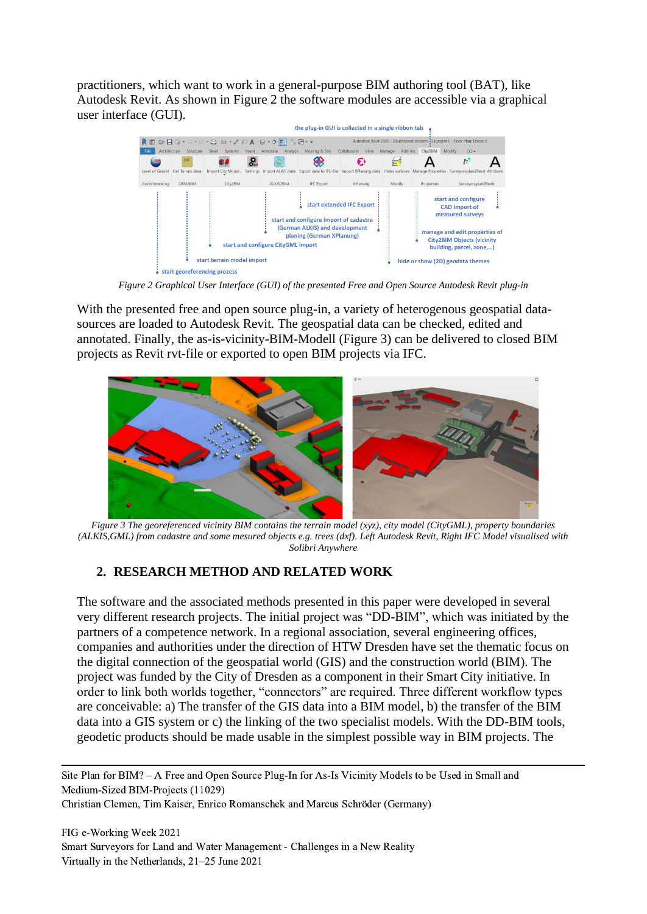practitioners, which want to work in a general-purpose BIM authoring tool (BAT), like Autodesk Revit. As shown in [Figure 2](#page-2-0) the software modules are accessible via a graphical user interface (GUI).



*Figure 2 Graphical User Interface (GUI) of the presented Free and Open Source Autodesk Revit plug-in*

<span id="page-2-0"></span>With the presented free and open source plug-in, a variety of heterogenous geospatial datasources are loaded to Autodesk Revit. The geospatial data can be checked, edited and annotated. Finally, the as-is-vicinity-BIM-Modell [\(Figure 3\)](#page-2-1) can be delivered to closed BIM projects as Revit rvt-file or exported to open BIM projects via IFC.



*Figure 3 The georeferenced vicinity BIM contains the terrain model (xyz), city model (CityGML), property boundaries (ALKIS,GML) from cadastre and some mesured objects e.g. trees (dxf). Left Autodesk Revit, Right IFC Model visualised with Solibri Anywhere*

# <span id="page-2-1"></span>**2. RESEARCH METHOD AND RELATED WORK**

The software and the associated methods presented in this paper were developed in several very different research projects. The initial project was "DD-BIM", which was initiated by the partners of a competence network. In a regional association, several engineering offices, companies and authorities under the direction of HTW Dresden have set the thematic focus on the digital connection of the geospatial world (GIS) and the construction world (BIM). The project was funded by the City of Dresden as a component in their Smart City initiative. In order to link both worlds together, "connectors" are required. Three different workflow types are conceivable: a) The transfer of the GIS data into a BIM model, b) the transfer of the BIM data into a GIS system or c) the linking of the two specialist models. With the DD-BIM tools, geodetic products should be made usable in the simplest possible way in BIM projects. The

Site Plan for BIM? – A Free and Open Source Plug-In for As-Is Vicinity Models to be Used in Small and Medium-Sized BIM-Projects (11029) Christian Clemen, Tim Kaiser, Enrico Romanschek and Marcus Schröder (Germany)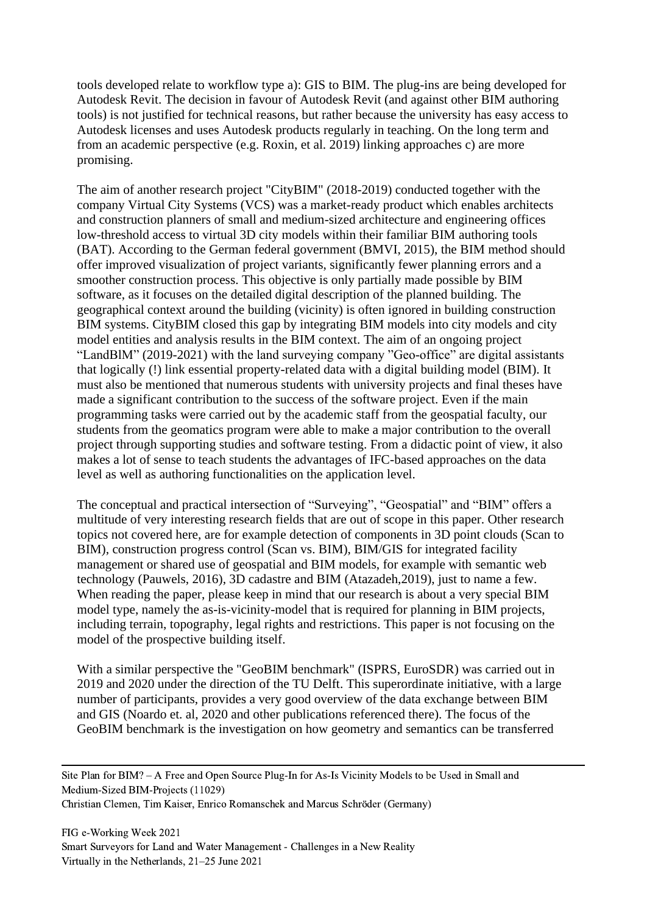tools developed relate to workflow type a): GIS to BIM. The plug-ins are being developed for Autodesk Revit. The decision in favour of Autodesk Revit (and against other BIM authoring tools) is not justified for technical reasons, but rather because the university has easy access to Autodesk licenses and uses Autodesk products regularly in teaching. On the long term and from an academic perspective (e.g. Roxin, et al. 2019) linking approaches c) are more promising.

The aim of another research project "CityBIM" (2018-2019) conducted together with the company Virtual City Systems (VCS) was a market-ready product which enables architects and construction planners of small and medium-sized architecture and engineering offices low-threshold access to virtual 3D city models within their familiar BIM authoring tools (BAT). According to the German federal government (BMVI, 2015), the BIM method should offer improved visualization of project variants, significantly fewer planning errors and a smoother construction process. This objective is only partially made possible by BIM software, as it focuses on the detailed digital description of the planned building. The geographical context around the building (vicinity) is often ignored in building construction BIM systems. CityBIM closed this gap by integrating BIM models into city models and city model entities and analysis results in the BIM context. The aim of an ongoing project "LandBlM" (2019-2021) with the land surveying company "Geo-office" are digital assistants that logically (!) link essential property-related data with a digital building model (BIM). It must also be mentioned that numerous students with university projects and final theses have made a significant contribution to the success of the software project. Even if the main programming tasks were carried out by the academic staff from the geospatial faculty, our students from the geomatics program were able to make a major contribution to the overall project through supporting studies and software testing. From a didactic point of view, it also makes a lot of sense to teach students the advantages of IFC-based approaches on the data level as well as authoring functionalities on the application level.

The conceptual and practical intersection of "Surveying", "Geospatial" and "BIM" offers a multitude of very interesting research fields that are out of scope in this paper. Other research topics not covered here, are for example detection of components in 3D point clouds (Scan to BIM), construction progress control (Scan vs. BIM), BIM/GIS for integrated facility management or shared use of geospatial and BIM models, for example with semantic web technology (Pauwels, 2016), 3D cadastre and BIM (Atazadeh,2019), just to name a few. When reading the paper, please keep in mind that our research is about a very special BIM model type, namely the as-is-vicinity-model that is required for planning in BIM projects, including terrain, topography, legal rights and restrictions. This paper is not focusing on the model of the prospective building itself.

With a similar perspective the "GeoBIM benchmark" (ISPRS, EuroSDR) was carried out in 2019 and 2020 under the direction of the TU Delft. This superordinate initiative, with a large number of participants, provides a very good overview of the data exchange between BIM and GIS (Noardo et. al, 2020 and other publications referenced there). The focus of the GeoBIM benchmark is the investigation on how geometry and semantics can be transferred

Site Plan for BIM? – A Free and Open Source Plug-In for As-Is Vicinity Models to be Used in Small and Medium-Sized BIM-Projects (11029)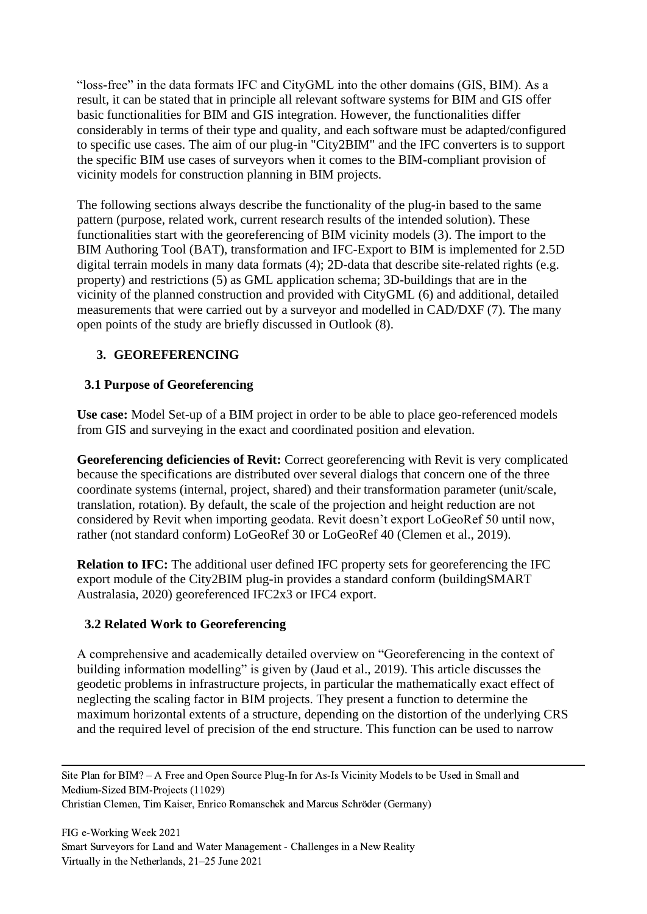"loss-free" in the data formats IFC and CityGML into the other domains (GIS, BIM). As a result, it can be stated that in principle all relevant software systems for BIM and GIS offer basic functionalities for BIM and GIS integration. However, the functionalities differ considerably in terms of their type and quality, and each software must be adapted/configured to specific use cases. The aim of our plug-in "City2BIM" and the IFC converters is to support the specific BIM use cases of surveyors when it comes to the BIM-compliant provision of vicinity models for construction planning in BIM projects.

The following sections always describe the functionality of the plug-in based to the same pattern (purpose, related work, current research results of the intended solution). These functionalities start with the georeferencing of BIM vicinity models (3). The import to the BIM Authoring Tool (BAT), transformation and IFC-Export to BIM is implemented for 2.5D digital terrain models in many data formats (4); 2D-data that describe site-related rights (e.g. property) and restrictions (5) as GML application schema; 3D-buildings that are in the vicinity of the planned construction and provided with CityGML (6) and additional, detailed measurements that were carried out by a surveyor and modelled in CAD/DXF (7). The many open points of the study are briefly discussed in Outlook (8).

## **3. GEOREFERENCING**

### **3.1 Purpose of Georeferencing**

**Use case:** Model Set-up of a BIM project in order to be able to place geo-referenced models from GIS and surveying in the exact and coordinated position and elevation.

**Georeferencing deficiencies of Revit:** Correct georeferencing with Revit is very complicated because the specifications are distributed over several dialogs that concern one of the three coordinate systems (internal, project, shared) and their transformation parameter (unit/scale, translation, rotation). By default, the scale of the projection and height reduction are not considered by Revit when importing geodata. Revit doesn't export LoGeoRef 50 until now, rather (not standard conform) LoGeoRef 30 or LoGeoRef 40 (Clemen et al., 2019).

**Relation to IFC:** The additional user defined IFC property sets for georeferencing the IFC export module of the City2BIM plug-in provides a standard conform (buildingSMART Australasia, 2020) georeferenced IFC2x3 or IFC4 export.

#### **3.2 Related Work to Georeferencing**

A comprehensive and academically detailed overview on "Georeferencing in the context of building information modelling" is given by (Jaud et al., 2019). This article discusses the geodetic problems in infrastructure projects, in particular the mathematically exact effect of neglecting the scaling factor in BIM projects. They present a function to determine the maximum horizontal extents of a structure, depending on the distortion of the underlying CRS and the required level of precision of the end structure. This function can be used to narrow

Site Plan for BIM? – A Free and Open Source Plug-In for As-Is Vicinity Models to be Used in Small and Medium-Sized BIM-Projects (11029)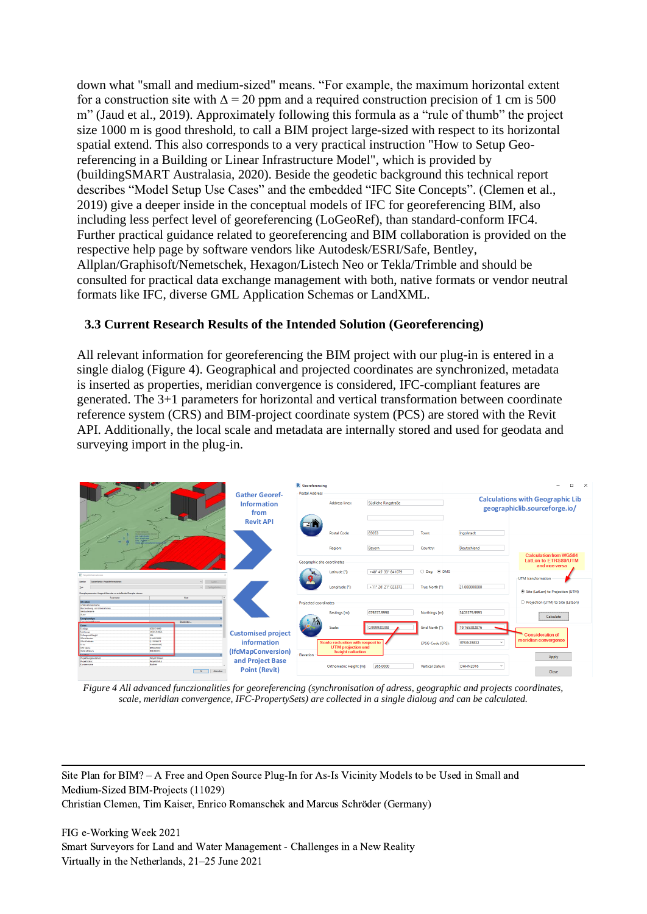down what "small and medium-sized" means. "For example, the maximum horizontal extent for a construction site with  $\Delta = 20$  ppm and a required construction precision of 1 cm is 500 m" (Jaud et al., 2019). Approximately following this formula as a "rule of thumb" the project size 1000 m is good threshold, to call a BIM project large-sized with respect to its horizontal spatial extend. This also corresponds to a very practical instruction "How to Setup Georeferencing in a Building or Linear Infrastructure Model", which is provided by (buildingSMART Australasia, 2020). Beside the geodetic background this technical report describes "Model Setup Use Cases" and the embedded "IFC Site Concepts". (Clemen et al., 2019) give a deeper inside in the conceptual models of IFC for georeferencing BIM, also including less perfect level of georeferencing (LoGeoRef), than standard-conform IFC4. Further practical guidance related to georeferencing and BIM collaboration is provided on the respective help page by software vendors like Autodesk/ESRI/Safe, Bentley, Allplan/Graphisoft/Nemetschek, Hexagon/Listech Neo or Tekla/Trimble and should be consulted for practical data exchange management with both, native formats or vendor neutral formats like IFC, diverse GML Application Schemas or LandXML.

#### **3.3 Current Research Results of the Intended Solution (Georeferencing)**

All relevant information for georeferencing the BIM project with our plug-in is entered in a single dialog [\(Figure 4\)](#page-5-0). Geographical and projected coordinates are synchronized, metadata is inserted as properties, meridian convergence is considered, IFC-compliant features are generated. The 3+1 parameters for horizontal and vertical transformation between coordinate reference system (CRS) and BIM-project coordinate system (PCS) are stored with the Revit API. Additionally, the local scale and metadata are internally stored and used for geodata and surveying import in the plug-in.



<span id="page-5-0"></span>*Figure 4 All advanced funczionalities for georeferencing (synchronisation of adress, geographic and projects coordinates, scale, meridian convergence, IFC-PropertySets) are collected in a single dialoug and can be calculated.*

Site Plan for BIM? – A Free and Open Source Plug-In for As-Is Vicinity Models to be Used in Small and Medium-Sized BIM-Projects (11029)

Christian Clemen, Tim Kaiser, Enrico Romanschek and Marcus Schröder (Germany)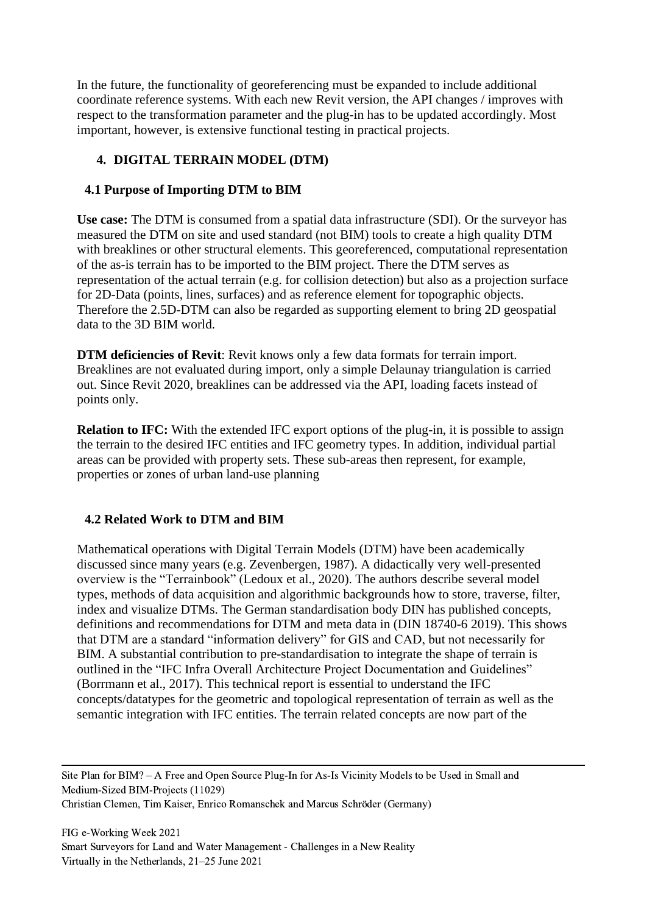In the future, the functionality of georeferencing must be expanded to include additional coordinate reference systems. With each new Revit version, the API changes / improves with respect to the transformation parameter and the plug-in has to be updated accordingly. Most important, however, is extensive functional testing in practical projects.

### **4. DIGITAL TERRAIN MODEL (DTM)**

### **4.1 Purpose of Importing DTM to BIM**

**Use case:** The DTM is consumed from a spatial data infrastructure (SDI). Or the surveyor has measured the DTM on site and used standard (not BIM) tools to create a high quality DTM with breaklines or other structural elements. This georeferenced, computational representation of the as-is terrain has to be imported to the BIM project. There the DTM serves as representation of the actual terrain (e.g. for collision detection) but also as a projection surface for 2D-Data (points, lines, surfaces) and as reference element for topographic objects. Therefore the 2.5D-DTM can also be regarded as supporting element to bring 2D geospatial data to the 3D BIM world.

**DTM deficiencies of Revit**: Revit knows only a few data formats for terrain import. Breaklines are not evaluated during import, only a simple Delaunay triangulation is carried out. Since Revit 2020, breaklines can be addressed via the API, loading facets instead of points only.

**Relation to IFC:** With the extended IFC export options of the plug-in, it is possible to assign the terrain to the desired IFC entities and IFC geometry types. In addition, individual partial areas can be provided with property sets. These sub-areas then represent, for example, properties or zones of urban land-use planning

### **4.2 Related Work to DTM and BIM**

Mathematical operations with Digital Terrain Models (DTM) have been academically discussed since many years (e.g. Zevenbergen, 1987). A didactically very well-presented overview is the "Terrainbook" (Ledoux et al., 2020). The authors describe several model types, methods of data acquisition and algorithmic backgrounds how to store, traverse, filter, index and visualize DTMs. The German standardisation body DIN has published concepts, definitions and recommendations for DTM and meta data in (DIN 18740-6 2019). This shows that DTM are a standard "information delivery" for GIS and CAD, but not necessarily for BIM. A substantial contribution to pre-standardisation to integrate the shape of terrain is outlined in the "IFC Infra Overall Architecture Project Documentation and Guidelines" (Borrmann et al., 2017). This technical report is essential to understand the IFC concepts/datatypes for the geometric and topological representation of terrain as well as the semantic integration with IFC entities. The terrain related concepts are now part of the

Site Plan for BIM? – A Free and Open Source Plug-In for As-Is Vicinity Models to be Used in Small and Medium-Sized BIM-Projects (11029)

Christian Clemen, Tim Kaiser, Enrico Romanschek and Marcus Schröder (Germany)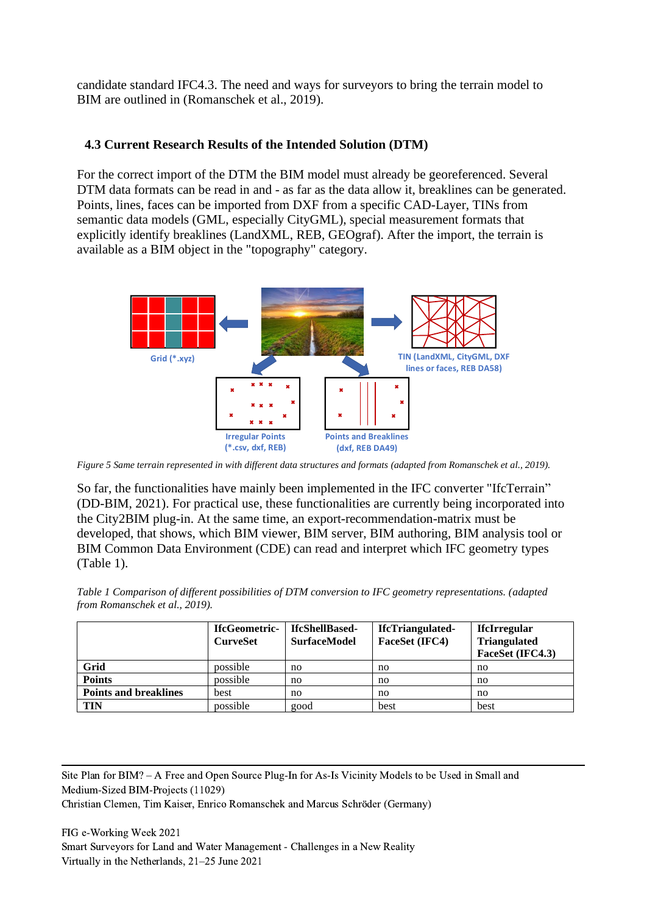candidate standard IFC4.3. The need and ways for surveyors to bring the terrain model to BIM are outlined in (Romanschek et al., 2019).

#### **4.3 Current Research Results of the Intended Solution (DTM)**

For the correct import of the DTM the BIM model must already be georeferenced. Several DTM data formats can be read in and - as far as the data allow it, breaklines can be generated. Points, lines, faces can be imported from DXF from a specific CAD-Layer, TINs from semantic data models (GML, especially CityGML), special measurement formats that explicitly identify breaklines (LandXML, REB, GEOgraf). After the import, the terrain is available as a BIM object in the "topography" category.



*Figure 5 Same terrain represented in with different data structures and formats (adapted from Romanschek et al., 2019).* 

So far, the functionalities have mainly been implemented in the IFC converter "IfcTerrain" (DD-BIM, 2021). For practical use, these functionalities are currently being incorporated into the City2BIM plug-in. At the same time, an export-recommendation-matrix must be developed, that shows, which BIM viewer, BIM server, BIM authoring, BIM analysis tool or BIM Common Data Environment (CDE) can read and interpret which IFC geometry types [\(Table 1\)](#page-7-0).

|                              | IfcGeometric-<br><b>CurveSet</b> | <b>IfcShellBased-</b><br><b>SurfaceModel</b> | <b>IfcTriangulated-</b><br>FaceSet (IFC4) | <b>IfcIrregular</b><br><b>Triangulated</b><br>FaceSet (IFC4.3) |
|------------------------------|----------------------------------|----------------------------------------------|-------------------------------------------|----------------------------------------------------------------|
| Grid                         | possible                         | no                                           | no                                        | no                                                             |
| <b>Points</b>                | possible                         | no                                           | no                                        | no                                                             |
| <b>Points and breaklines</b> | best                             | no                                           | no                                        | no                                                             |
| TIN                          | possible                         | good                                         | best                                      | best                                                           |

<span id="page-7-0"></span>

| Table 1 Comparison of different possibilities of DTM conversion to IFC geometry representations. (adapted |  |
|-----------------------------------------------------------------------------------------------------------|--|
| from Romanschek et al., 2019).                                                                            |  |

Site Plan for BIM? – A Free and Open Source Plug-In for As-Is Vicinity Models to be Used in Small and Medium-Sized BIM-Projects (11029)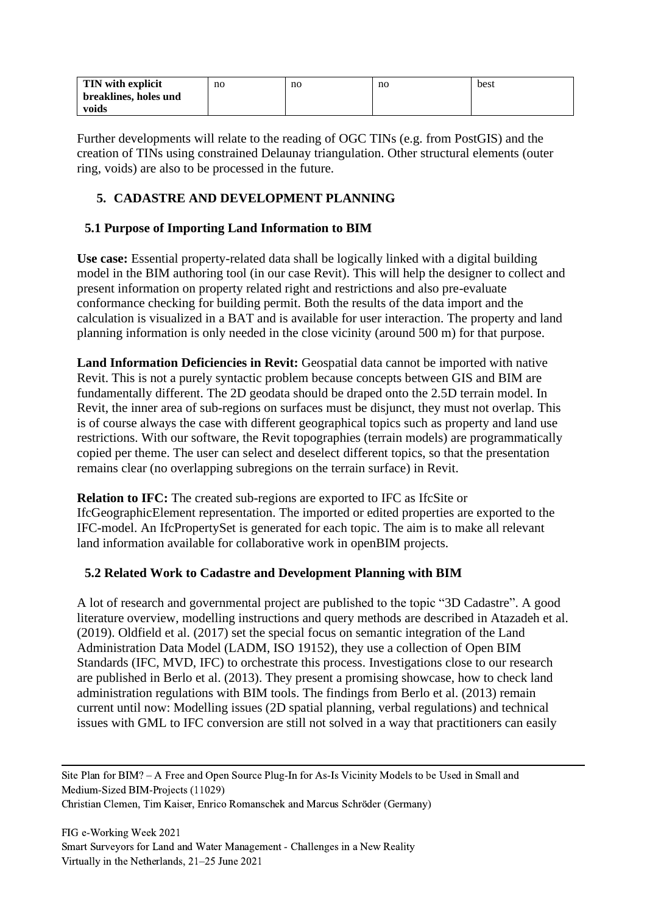| TIN with explicit     | no | no | no | best |
|-----------------------|----|----|----|------|
| breaklines, holes und |    |    |    |      |
| voids                 |    |    |    |      |

Further developments will relate to the reading of OGC TINs (e.g. from PostGIS) and the creation of TINs using constrained Delaunay triangulation. Other structural elements (outer ring, voids) are also to be processed in the future.

### **5. CADASTRE AND DEVELOPMENT PLANNING**

### **5.1 Purpose of Importing Land Information to BIM**

**Use case:** Essential property-related data shall be logically linked with a digital building model in the BIM authoring tool (in our case Revit). This will help the designer to collect and present information on property related right and restrictions and also pre-evaluate conformance checking for building permit. Both the results of the data import and the calculation is visualized in a BAT and is available for user interaction. The property and land planning information is only needed in the close vicinity (around 500 m) for that purpose.

**Land Information Deficiencies in Revit:** Geospatial data cannot be imported with native Revit. This is not a purely syntactic problem because concepts between GIS and BIM are fundamentally different. The 2D geodata should be draped onto the 2.5D terrain model. In Revit, the inner area of sub-regions on surfaces must be disjunct, they must not overlap. This is of course always the case with different geographical topics such as property and land use restrictions. With our software, the Revit topographies (terrain models) are programmatically copied per theme. The user can select and deselect different topics, so that the presentation remains clear (no overlapping subregions on the terrain surface) in Revit.

**Relation to IFC:** The created sub-regions are exported to IFC as IfcSite or IfcGeographicElement representation. The imported or edited properties are exported to the IFC-model. An IfcPropertySet is generated for each topic. The aim is to make all relevant land information available for collaborative work in openBIM projects.

#### **5.2 Related Work to Cadastre and Development Planning with BIM**

A lot of research and governmental project are published to the topic "3D Cadastre". A good literature overview, modelling instructions and query methods are described in Atazadeh et al. (2019). Oldfield et al. (2017) set the special focus on semantic integration of the Land Administration Data Model (LADM, ISO 19152), they use a collection of Open BIM Standards (IFC, MVD, IFC) to orchestrate this process. Investigations close to our research are published in Berlo et al. (2013). They present a promising showcase, how to check land administration regulations with BIM tools. The findings from Berlo et al. (2013) remain current until now: Modelling issues (2D spatial planning, verbal regulations) and technical issues with GML to IFC conversion are still not solved in a way that practitioners can easily

Site Plan for BIM? – A Free and Open Source Plug-In for As-Is Vicinity Models to be Used in Small and Medium-Sized BIM-Projects (11029)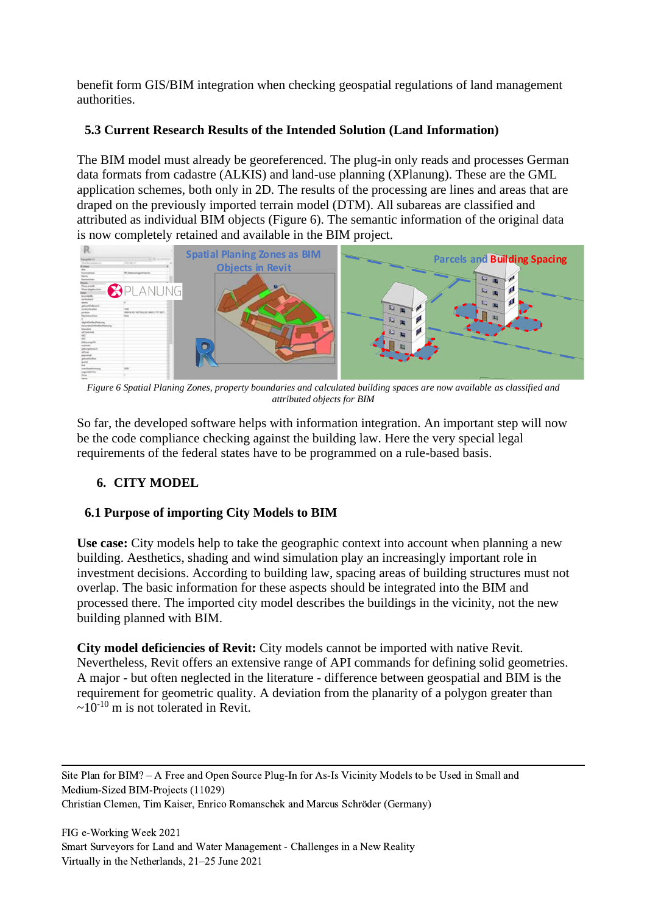benefit form GIS/BIM integration when checking geospatial regulations of land management authorities.

### **5.3 Current Research Results of the Intended Solution (Land Information)**

The BIM model must already be georeferenced. The plug-in only reads and processes German data formats from cadastre (ALKIS) and land-use planning (XPlanung). These are the GML application schemes, both only in 2D. The results of the processing are lines and areas that are draped on the previously imported terrain model (DTM). All subareas are classified and attributed as individual BIM objects [\(Figure 6\)](#page-9-0). The semantic information of the original data is now completely retained and available in the BIM project.



*Figure 6 Spatial Planing Zones, property boundaries and calculated building spaces are now available as classified and attributed objects for BIM*

<span id="page-9-0"></span>So far, the developed software helps with information integration. An important step will now be the code compliance checking against the building law. Here the very special legal requirements of the federal states have to be programmed on a rule-based basis.

# **6. CITY MODEL**

# **6.1 Purpose of importing City Models to BIM**

**Use case:** City models help to take the geographic context into account when planning a new building. Aesthetics, shading and wind simulation play an increasingly important role in investment decisions. According to building law, spacing areas of building structures must not overlap. The basic information for these aspects should be integrated into the BIM and processed there. The imported city model describes the buildings in the vicinity, not the new building planned with BIM.

**City model deficiencies of Revit:** City models cannot be imported with native Revit. Nevertheless, Revit offers an extensive range of API commands for defining solid geometries. A major - but often neglected in the literature - difference between geospatial and BIM is the requirement for geometric quality. A deviation from the planarity of a polygon greater than  $\sim 10^{-10}$  m is not tolerated in Revit.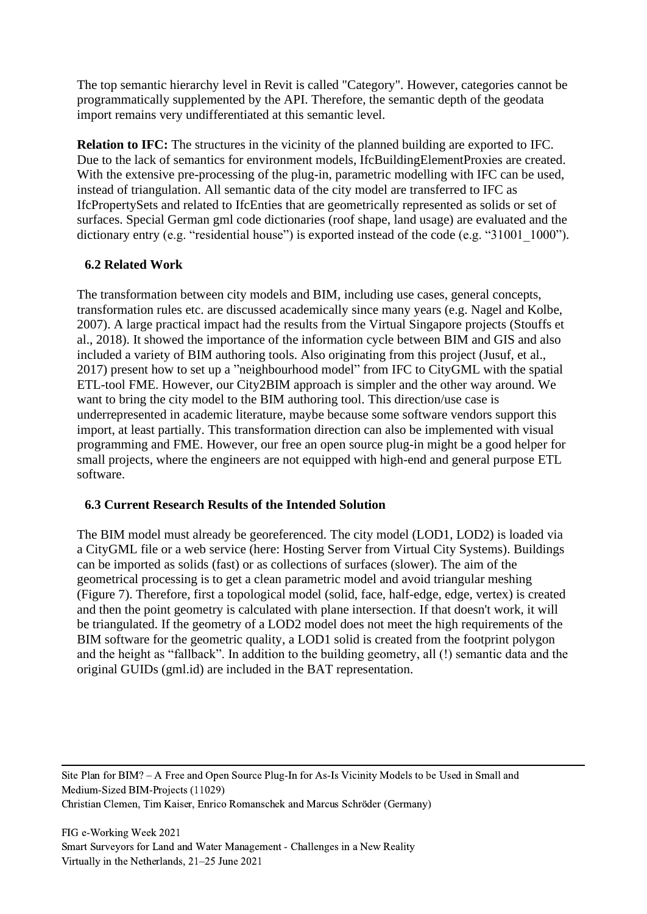The top semantic hierarchy level in Revit is called "Category". However, categories cannot be programmatically supplemented by the API. Therefore, the semantic depth of the geodata import remains very undifferentiated at this semantic level.

**Relation to IFC:** The structures in the vicinity of the planned building are exported to IFC. Due to the lack of semantics for environment models, IfcBuildingElementProxies are created. With the extensive pre-processing of the plug-in, parametric modelling with IFC can be used, instead of triangulation. All semantic data of the city model are transferred to IFC as IfcPropertySets and related to IfcEnties that are geometrically represented as solids or set of surfaces. Special German gml code dictionaries (roof shape, land usage) are evaluated and the dictionary entry (e.g. "residential house") is exported instead of the code (e.g. "31001 1000").

### **6.2 Related Work**

The transformation between city models and BIM, including use cases, general concepts, transformation rules etc. are discussed academically since many years (e.g. Nagel and Kolbe, 2007). A large practical impact had the results from the Virtual Singapore projects (Stouffs et al., 2018). It showed the importance of the information cycle between BIM and GIS and also included a variety of BIM authoring tools. Also originating from this project (Jusuf, et al., 2017) present how to set up a "neighbourhood model" from IFC to CityGML with the spatial ETL-tool FME. However, our City2BIM approach is simpler and the other way around. We want to bring the city model to the BIM authoring tool. This direction/use case is underrepresented in academic literature, maybe because some software vendors support this import, at least partially. This transformation direction can also be implemented with visual programming and FME. However, our free an open source plug-in might be a good helper for small projects, where the engineers are not equipped with high-end and general purpose ETL software.

#### **6.3 Current Research Results of the Intended Solution**

The BIM model must already be georeferenced. The city model (LOD1, LOD2) is loaded via a CityGML file or a web service (here: Hosting Server from Virtual City Systems). Buildings can be imported as solids (fast) or as collections of surfaces (slower). The aim of the geometrical processing is to get a clean parametric model and avoid triangular meshing [\(Figure 7\)](#page-11-0). Therefore, first a topological model (solid, face, half-edge, edge, vertex) is created and then the point geometry is calculated with plane intersection. If that doesn't work, it will be triangulated. If the geometry of a LOD2 model does not meet the high requirements of the BIM software for the geometric quality, a LOD1 solid is created from the footprint polygon and the height as "fallback". In addition to the building geometry, all (!) semantic data and the original GUIDs (gml.id) are included in the BAT representation.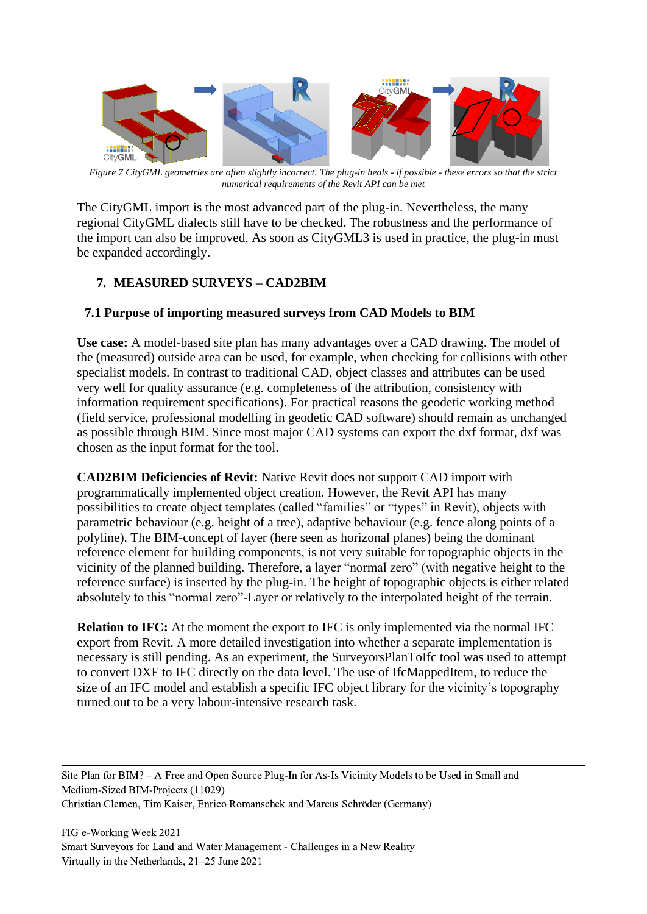

<span id="page-11-0"></span>*Figure 7 CityGML geometries are often slightly incorrect. The plug-in heals - if possible - these errors so that the strict numerical requirements of the Revit API can be met*

The CityGML import is the most advanced part of the plug-in. Nevertheless, the many regional CityGML dialects still have to be checked. The robustness and the performance of the import can also be improved. As soon as CityGML3 is used in practice, the plug-in must be expanded accordingly.

### **7. MEASURED SURVEYS – CAD2BIM**

### **7.1 Purpose of importing measured surveys from CAD Models to BIM**

**Use case:** A model-based site plan has many advantages over a CAD drawing. The model of the (measured) outside area can be used, for example, when checking for collisions with other specialist models. In contrast to traditional CAD, object classes and attributes can be used very well for quality assurance (e.g. completeness of the attribution, consistency with information requirement specifications). For practical reasons the geodetic working method (field service, professional modelling in geodetic CAD software) should remain as unchanged as possible through BIM. Since most major CAD systems can export the dxf format, dxf was chosen as the input format for the tool.

**CAD2BIM Deficiencies of Revit:** Native Revit does not support CAD import with programmatically implemented object creation. However, the Revit API has many possibilities to create object templates (called "families" or "types" in Revit), objects with parametric behaviour (e.g. height of a tree), adaptive behaviour (e.g. fence along points of a polyline). The BIM-concept of layer (here seen as horizonal planes) being the dominant reference element for building components, is not very suitable for topographic objects in the vicinity of the planned building. Therefore, a layer "normal zero" (with negative height to the reference surface) is inserted by the plug-in. The height of topographic objects is either related absolutely to this "normal zero"-Layer or relatively to the interpolated height of the terrain.

**Relation to IFC:** At the moment the export to IFC is only implemented via the normal IFC export from Revit. A more detailed investigation into whether a separate implementation is necessary is still pending. As an experiment, the SurveyorsPlanToIfc tool was used to attempt to convert DXF to IFC directly on the data level. The use of IfcMappedItem, to reduce the size of an IFC model and establish a specific IFC object library for the vicinity's topography turned out to be a very labour-intensive research task.

Site Plan for BIM? – A Free and Open Source Plug-In for As-Is Vicinity Models to be Used in Small and Medium-Sized BIM-Projects (11029)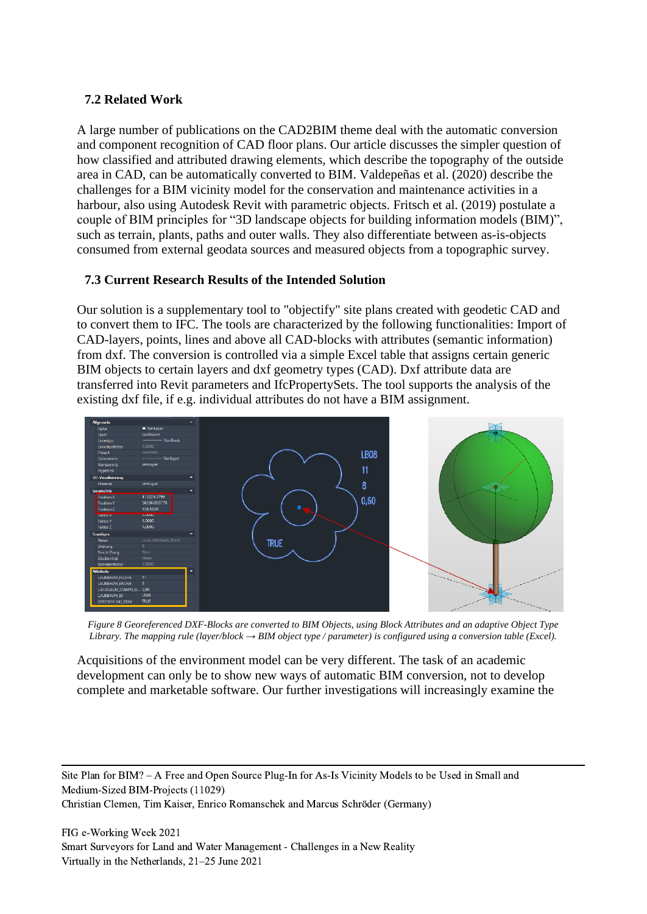#### **7.2 Related Work**

A large number of publications on the CAD2BIM theme deal with the automatic conversion and component recognition of CAD floor plans. Our article discusses the simpler question of how classified and attributed drawing elements, which describe the topography of the outside area in CAD, can be automatically converted to BIM. Valdepeñas et al. (2020) describe the challenges for a BIM vicinity model for the conservation and maintenance activities in a harbour, also using Autodesk Revit with parametric objects. Fritsch et al. (2019) postulate a couple of BIM principles for "3D landscape objects for building information models (BIM)", such as terrain, plants, paths and outer walls. They also differentiate between as-is-objects consumed from external geodata sources and measured objects from a topographic survey.

#### **7.3 Current Research Results of the Intended Solution**

Our solution is a supplementary tool to "objectify" site plans created with geodetic CAD and to convert them to IFC. The tools are characterized by the following functionalities: Import of CAD-layers, points, lines and above all CAD-blocks with attributes (semantic information) from dxf. The conversion is controlled via a simple Excel table that assigns certain generic BIM objects to certain layers and dxf geometry types (CAD). Dxf attribute data are transferred into Revit parameters and IfcPropertySets. The tool supports the analysis of the existing dxf file, if e.g. individual attributes do not have a BIM assignment.



*Figure 8 Georeferenced DXF-Blocks are converted to BIM Objects, using Block Attributes and an adaptive Object Type Library. The mapping rule (layer/block → BIM object type / parameter) is configured using a conversion table (Excel).*

Acquisitions of the environment model can be very different. The task of an academic development can only be to show new ways of automatic BIM conversion, not to develop complete and marketable software. Our further investigations will increasingly examine the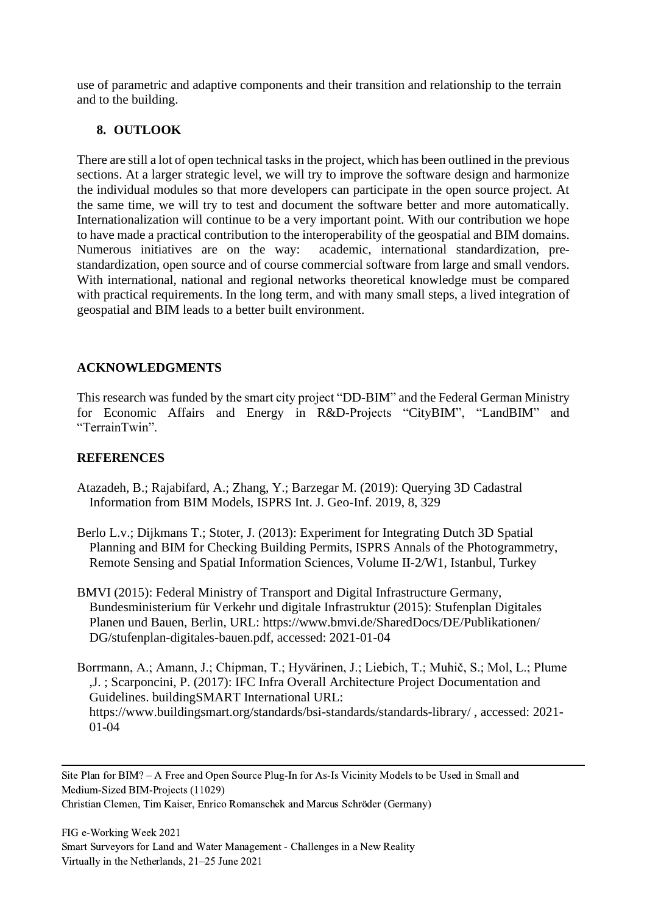use of parametric and adaptive components and their transition and relationship to the terrain and to the building.

### **8. OUTLOOK**

There are still a lot of open technical tasks in the project, which has been outlined in the previous sections. At a larger strategic level, we will try to improve the software design and harmonize the individual modules so that more developers can participate in the open source project. At the same time, we will try to test and document the software better and more automatically. Internationalization will continue to be a very important point. With our contribution we hope to have made a practical contribution to the interoperability of the geospatial and BIM domains. Numerous initiatives are on the way: academic, international standardization, prestandardization, open source and of course commercial software from large and small vendors. With international, national and regional networks theoretical knowledge must be compared with practical requirements. In the long term, and with many small steps, a lived integration of geospatial and BIM leads to a better built environment.

#### **ACKNOWLEDGMENTS**

This research was funded by the smart city project "DD-BIM" and the Federal German Ministry for Economic Affairs and Energy in R&D-Projects "CityBIM", "LandBIM" and "TerrainTwin".

#### **REFERENCES**

- Atazadeh, B.; Rajabifard, A.; Zhang, Y.; Barzegar M. (2019): Querying 3D Cadastral Information from BIM Models, ISPRS Int. J. Geo-Inf. 2019, 8, 329
- Berlo L.v.; Dijkmans T.; Stoter, J. (2013): Experiment for Integrating Dutch 3D Spatial Planning and BIM for Checking Building Permits, ISPRS Annals of the Photogrammetry, Remote Sensing and Spatial Information Sciences, Volume II-2/W1, Istanbul, Turkey
- BMVI (2015): Federal Ministry of Transport and Digital Infrastructure Germany, Bundesministerium für Verkehr und digitale Infrastruktur (2015): Stufenplan Digitales Planen und Bauen, Berlin, URL: https://www.bmvi.de/SharedDocs/DE/Publikationen/ DG/stufenplan-digitales-bauen.pdf, accessed: 2021-01-04

Borrmann, A.; Amann, J.; Chipman, T.; Hyvärinen, J.; Liebich, T.; Muhič, S.; Mol, L.; Plume ,J. ; Scarponcini, P. (2017): IFC Infra Overall Architecture Project Documentation and Guidelines. buildingSMART International URL: <https://www.buildingsmart.org/standards/bsi-standards/standards-library/> , accessed: 2021- 01-04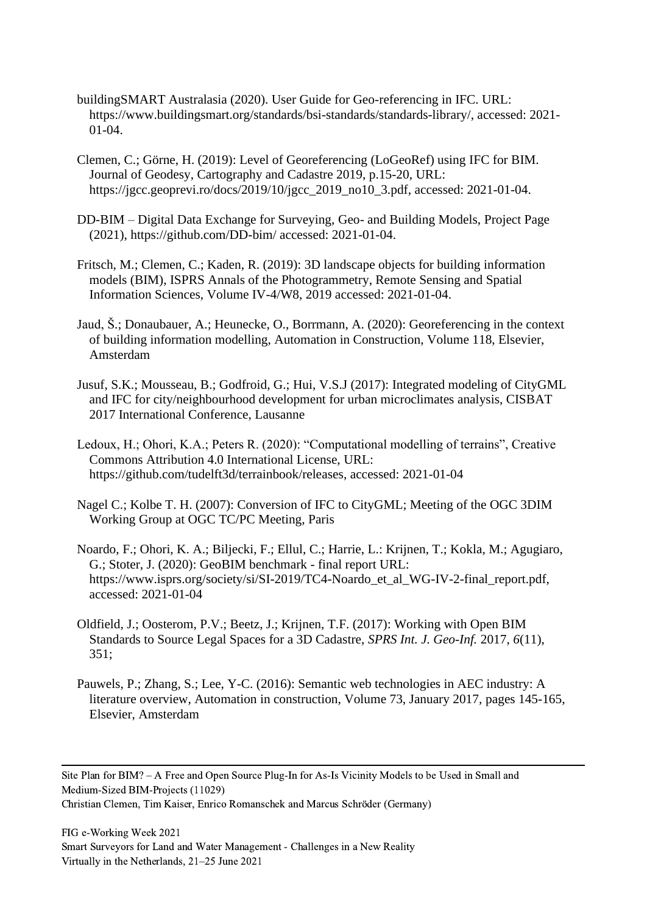- buildingSMART Australasia (2020). User Guide for Geo-referencing in IFC. URL: [https://www.buildingsmart.org/standards/bsi-standards/standards-library/,](https://www.buildingsmart.org/standards/bsi-standards/standards-library/) accessed: 2021- 01-04.
- Clemen, C.; Görne, H. (2019): Level of Georeferencing (LoGeoRef) using IFC for BIM. Journal of Geodesy, Cartography and Cadastre 2019, p.15-20, URL: [https://jgcc.geoprevi.ro/docs/2019/10/jgcc\\_2019\\_no10\\_3.pdf,](https://jgcc.geoprevi.ro/docs/2019/10/jgcc_2019_no10_3.pdf) accessed: 2021-01-04.
- DD-BIM Digital Data Exchange for Surveying, Geo- and Building Models, Project Page (2021),<https://github.com/DD-bim/> accessed: 2021-01-04.
- Fritsch, M.; Clemen, C.; Kaden, R. (2019): 3D landscape objects for building information models (BIM), ISPRS Annals of the Photogrammetry, Remote Sensing and Spatial Information Sciences, Volume IV-4/W8, 2019 accessed: 2021-01-04.
- Jaud, Š.; Donaubauer, A.; Heunecke, O., Borrmann, A. (2020): Georeferencing in the context of building information modelling, Automation in Construction, Volume 118, Elsevier, Amsterdam
- Jusuf, S.K.; Mousseau, B.; Godfroid, G.; Hui, V.S.J (2017): Integrated modeling of CityGML and IFC for city/neighbourhood development for urban microclimates analysis, CISBAT 2017 International Conference, Lausanne
- Ledoux, H.; Ohori, K.A.; Peters R. (2020): "Computational modelling of terrains", Creative Commons Attribution 4.0 International License, URL: [https://github.com/tudelft3d/terrainbook/releases,](https://github.com/tudelft3d/terrainbook/releases) accessed: 2021-01-04
- Nagel C.; Kolbe T. H. (2007): Conversion of IFC to CityGML; Meeting of the OGC 3DIM Working Group at OGC TC/PC Meeting, Paris
- Noardo, F.; Ohori, K. A.; Biljecki, F.; Ellul, C.; Harrie, L.: Krijnen, T.; Kokla, M.; Agugiaro, G.; Stoter, J. (2020): [GeoBIM benchmark -](https://www.isprs.org/society/si/SI-2019/TC4-Noardo_et_al_WG-IV-2-final_report.pdf) final report URL: [https://www.isprs.org/society/si/SI-2019/TC4-Noardo\\_et\\_al\\_WG-IV-2-final\\_report.pdf,](https://www.isprs.org/society/si/SI-2019/TC4-Noardo_et_al_WG-IV-2-final_report.pdf) accessed: 2021-01-04
- Oldfield, J.; Oosterom, P.V.; Beetz, J.; Krijnen, T.F. (2017): Working with Open BIM Standards to Source Legal Spaces for a 3D Cadastre, *SPRS Int. J. Geo-Inf.* 2017, *6*(11), 351;
- Pauwels, P.; Zhang, S.; Lee, Y-C. (2016): Semantic web technologies in AEC industry: A literature overview, Automation in construction, Volume 73, January 2017, pages 145-165, Elsevier, Amsterdam

Site Plan for BIM? – A Free and Open Source Plug-In for As-Is Vicinity Models to be Used in Small and Medium-Sized BIM-Projects (11029)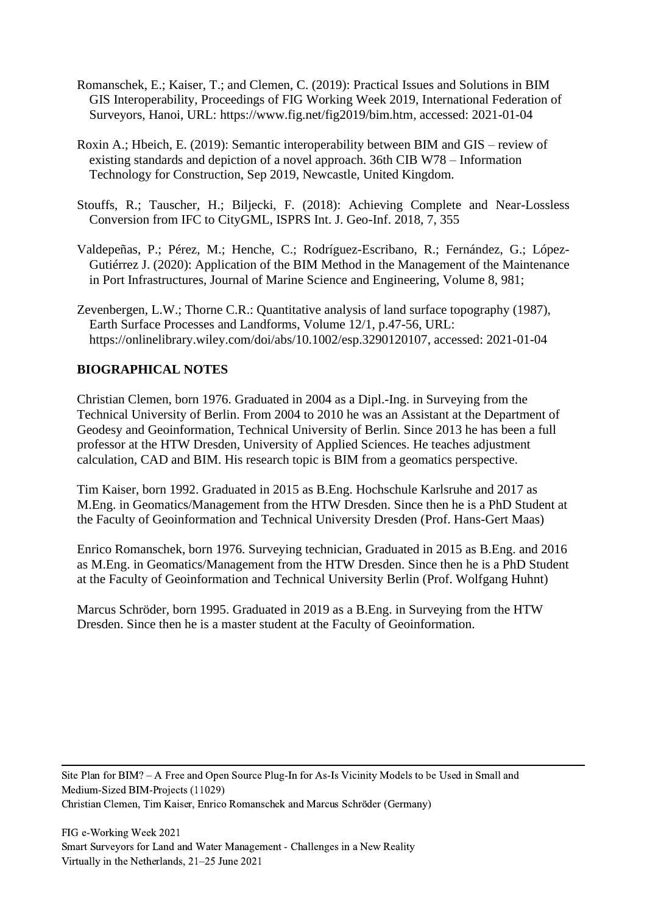- Romanschek, E.; Kaiser, T.; and Clemen, C. (2019): Practical Issues and Solutions in BIM GIS Interoperability, Proceedings of FIG Working Week 2019, International Federation of Surveyors, Hanoi, URL: [https://www.fig.net/fig2019/bim.htm,](https://www.fig.net/fig2019/bim.htm) accessed: 2021-01-04
- Roxin A.; Hbeich, E. (2019): Semantic interoperability between BIM and GIS review of existing standards and depiction of a novel approach. 36th CIB W78 – Information Technology for Construction, Sep 2019, Newcastle, United Kingdom.
- Stouffs, R.; Tauscher, H.; Biljecki, F. (2018): Achieving Complete and Near-Lossless Conversion from IFC to CityGML, ISPRS Int. J. Geo-Inf. 2018, 7, 355
- Valdepeñas, P.; Pérez, M.; Henche, C.; Rodríguez-Escribano, R.; Fernández, G.; López-Gutiérrez J. (2020): Application of the BIM Method in the Management of the Maintenance in Port Infrastructures, Journal of Marine Science and Engineering, Volume 8, 981;
- Zevenbergen, L.W.; Thorne C.R.: Quantitative analysis of land surface topography (1987), Earth Surface Processes and Landforms, Volume 12/1, p.47-56, URL: [https://onlinelibrary.wiley.com/doi/abs/10.1002/esp.3290120107,](https://onlinelibrary.wiley.com/doi/abs/10.1002/esp.3290120107) accessed: 2021-01-04

### **BIOGRAPHICAL NOTES**

Christian Clemen, born 1976. Graduated in 2004 as a Dipl.-Ing. in Surveying from the Technical University of Berlin. From 2004 to 2010 he was an Assistant at the Department of Geodesy and Geoinformation, Technical University of Berlin. Since 2013 he has been a full professor at the HTW Dresden, University of Applied Sciences. He teaches adjustment calculation, CAD and BIM. His research topic is BIM from a geomatics perspective.

Tim Kaiser, born 1992. Graduated in 2015 as B.Eng. Hochschule Karlsruhe and 2017 as M.Eng. in Geomatics/Management from the HTW Dresden. Since then he is a PhD Student at the Faculty of Geoinformation and Technical University Dresden (Prof. Hans-Gert Maas)

Enrico Romanschek, born 1976. Surveying technician, Graduated in 2015 as B.Eng. and 2016 as M.Eng. in Geomatics/Management from the HTW Dresden. Since then he is a PhD Student at the Faculty of Geoinformation and Technical University Berlin (Prof. Wolfgang Huhnt)

Marcus Schröder, born 1995. Graduated in 2019 as a B.Eng. in Surveying from the HTW Dresden. Since then he is a master student at the Faculty of Geoinformation.